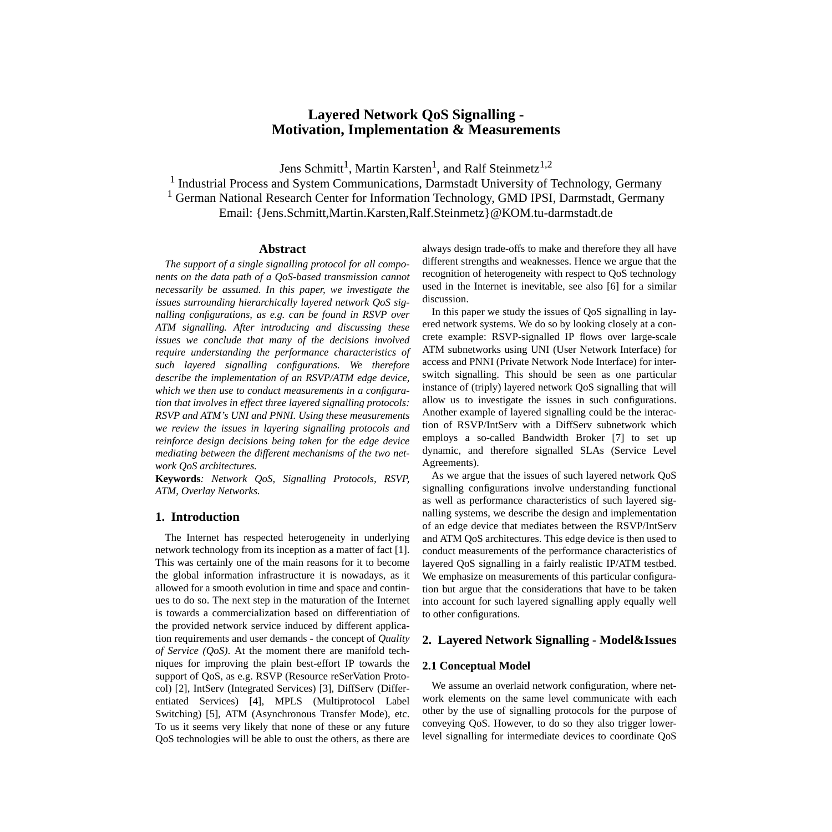# **Layered Network QoS Signalling - Motivation, Implementation & Measurements**

Jens Schmitt<sup>1</sup>, Martin Karsten<sup>1</sup>, and Ralf Steinmetz<sup>1,2</sup>

<span id="page-0-0"></span><sup>1</sup> Industrial Process and System Communications, Darmstadt University of Technology, Germany <sup>1</sup> German National Research Center for Information Technology, GMD IPSI, Darmstadt, Germany Email: {Jens.Schmitt,Martin.Karsten,Ralf.Steinmetz}@KOM.tu-darmstadt.de

#### **Abstract**

*The support of a single signalling protocol for all components on the data path of a QoS-based transmission cannot necessarily be assumed. In this paper, we investigate the issues surrounding hierarchically layered network QoS signalling configurations, as e.g. can be found in RSVP over ATM signalling. After introducing and discussing these issues we conclude that many of the decisions involved require understanding the performance characteristics of such layered signalling configurations. We therefore describe the implementation of an RSVP/ATM edge device, which we then use to conduct measurements in a configuration that involves in effect three layered signalling protocols: RSVP and ATM's UNI and PNNI. Using these measurements we review the issues in layering signalling protocols and reinforce design decisions being taken for the edge device mediating between the different mechanisms of the two network QoS architectures.*

**Keywords***: Network QoS, Signalling Protocols, RSVP, ATM, Overlay Networks.*

### **1. Introduction**

The Internet has respected heterogeneity in underlying network technology from its inception as a matter of fact [1]. This was certainly one of the main reasons for it to become the global information infrastructure it is nowadays, as it allowed for a smooth evolution in time and space and continues to do so. The next step in the maturation of the Internet is towards a commercialization based on differentiation of the provided network service induced by different application requirements and user demands - the concept of *Quality of Service (QoS)*. At the moment there are manifold techniques for improving the plain best-effort IP towards the support of QoS, as e.g. RSVP (Resource reSerVation Protocol) [2], IntServ (Integrated Services) [3], DiffServ (Differentiated Services) [4], MPLS (Multiprotocol Label Switching) [5], ATM (Asynchronous Transfer Mode), etc. To us it seems very likely that none of these or any future QoS technologies will be able to oust the others, as there are always design trade-offs to make and therefore they all have different strengths and weaknesses. Hence we argue that the recognition of heterogeneity with respect to QoS technology used in the Internet is inevitable, see also [6] for a similar discussion.

In this paper we study the issues of QoS signalling in layered network systems. We do so by looking closely at a concrete example: RSVP-signalled IP flows over large-scale ATM subnetworks using UNI (User Network Interface) for access and PNNI (Private Network Node Interface) for interswitch signalling. This should be seen as one particular instance of (triply) layered network QoS signalling that will allow us to investigate the issues in such configurations. Another example of layered signalling could be the interaction of RSVP/IntServ with a DiffServ subnetwork which employs a so-called Bandwidth Broker [7] to set up dynamic, and therefore signalled SLAs (Service Level Agreements).

As we argue that the issues of such layered network QoS signalling configurations involve understanding functional as well as performance characteristics of such layered signalling systems, we describe the design and implementation of an edge device that mediates between the RSVP/IntServ and ATM QoS architectures. This edge device is then used to conduct measurements of the performance characteristics of layered QoS signalling in a fairly realistic IP/ATM testbed. We emphasize on measurements of this particular configuration but argue that the considerations that have to be taken into account for such layered signalling apply equally well to other configurations.

## **2. Layered Network Signalling - Model&Issues**

#### **2.1 Conceptual Model**

We assume an overlaid network configuration, where network elements on the same level communicate with each other by the use of signalling protocols for the purpose of conveying QoS. However, to do so they also trigger lowerlevel signalling for intermediate devices to coordinate QoS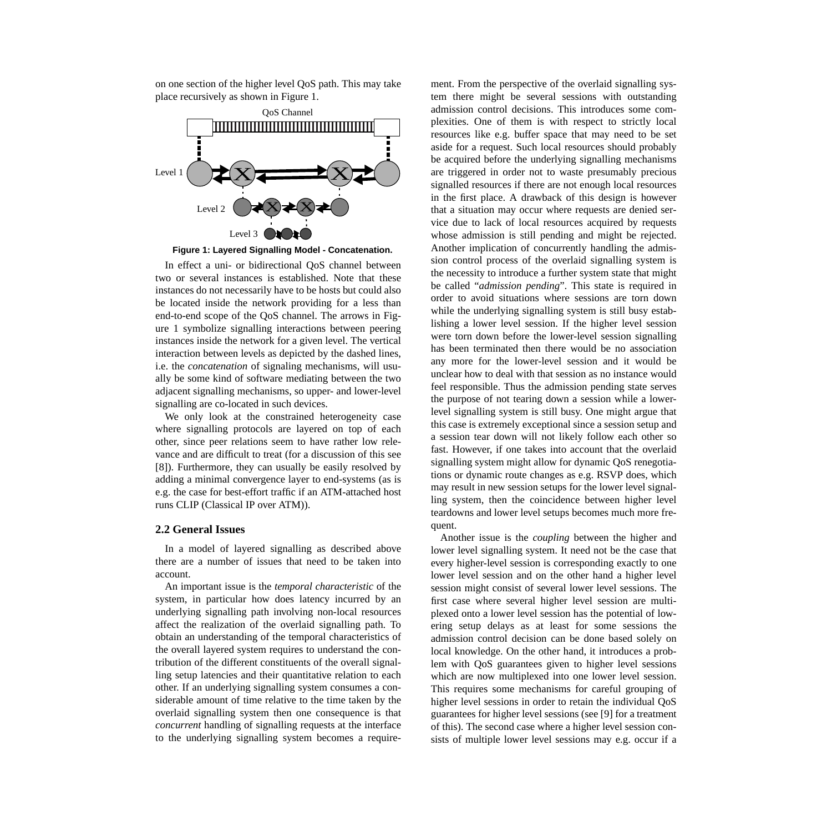on one section of the higher level QoS path. This may take place recursively as shown in Figure 1.



**Figure 1: Layered Signalling Model - Concatenation.**

In effect a uni- or bidirectional QoS channel between two or several instances is established. Note that these instances do not necessarily have to be hosts but could also be located inside the network providing for a less than end-to-end scope of the QoS channel. The arrows in Figure 1 symbolize signalling interactions between peering instances inside the network for a given level. The vertical interaction between levels as depicted by the dashed lines, i.e. the *concatenation* of signaling mechanisms, will usually be some kind of software mediating between the two adjacent signalling mechanisms, so upper- and lower-level signalling are co-located in such devices.

We only look at the constrained heterogeneity case where signalling protocols are layered on top of each other, since peer relations seem to have rather low relevance and are difficult to treat (for a discussion of this see [8]). Furthermore, they can usually be easily resolved by adding a minimal convergence layer to end-systems (as is e.g. the case for best-effort traffic if an ATM-attached host runs CLIP (Classical IP over ATM)).

#### **2.2 General Issues**

In a model of layered signalling as described above there are a number of issues that need to be taken into account.

An important issue is the *temporal characteristic* of the system, in particular how does latency incurred by an underlying signalling path involving non-local resources affect the realization of the overlaid signalling path. To obtain an understanding of the temporal characteristics of the overall layered system requires to understand the contribution of the different constituents of the overall signalling setup latencies and their quantitative relation to each other. If an underlying signalling system consumes a considerable amount of time relative to the time taken by the overlaid signalling system then one consequence is that *concurrent* handling of signalling requests at the interface to the underlying signalling system becomes a require-

ment. From the perspective of the overlaid signalling system there might be several sessions with outstanding admission control decisions. This introduces some complexities. One of them is with respect to strictly local resources like e.g. buffer space that may need to be set aside for a request. Such local resources should probably be acquired before the underlying signalling mechanisms are triggered in order not to waste presumably precious signalled resources if there are not enough local resources in the first place. A drawback of this design is however that a situation may occur where requests are denied service due to lack of local resources acquired by requests whose admission is still pending and might be rejected. Another implication of concurrently handling the admission control process of the overlaid signalling system is the necessity to introduce a further system state that might be called "*admission pending*". This state is required in order to avoid situations where sessions are torn down while the underlying signalling system is still busy establishing a lower level session. If the higher level session were torn down before the lower-level session signalling has been terminated then there would be no association any more for the lower-level session and it would be unclear how to deal with that session as no instance would feel responsible. Thus the admission pending state serves the purpose of not tearing down a session while a lowerlevel signalling system is still busy. One might argue that this case is extremely exceptional since a session setup and a session tear down will not likely follow each other so fast. However, if one takes into account that the overlaid signalling system might allow for dynamic QoS renegotiations or dynamic route changes as e.g. RSVP does, which may result in new session setups for the lower level signalling system, then the coincidence between higher level teardowns and lower level setups becomes much more frequent.

Another issue is the *coupling* between the higher and lower level signalling system. It need not be the case that every higher-level session is corresponding exactly to one lower level session and on the other hand a higher level session might consist of several lower level sessions. The first case where several higher level session are multiplexed onto a lower level session has the potential of lowering setup delays as at least for some sessions the admission control decision can be done based solely on local knowledge. On the other hand, it introduces a problem with QoS guarantees given to higher level sessions which are now multiplexed into one lower level session. This requires some mechanisms for careful grouping of higher level sessions in order to retain the individual QoS guarantees for higher level sessions (see [9] for a treatment of this). The second case where a higher level session consists of multiple lower level sessions may e.g. occur if a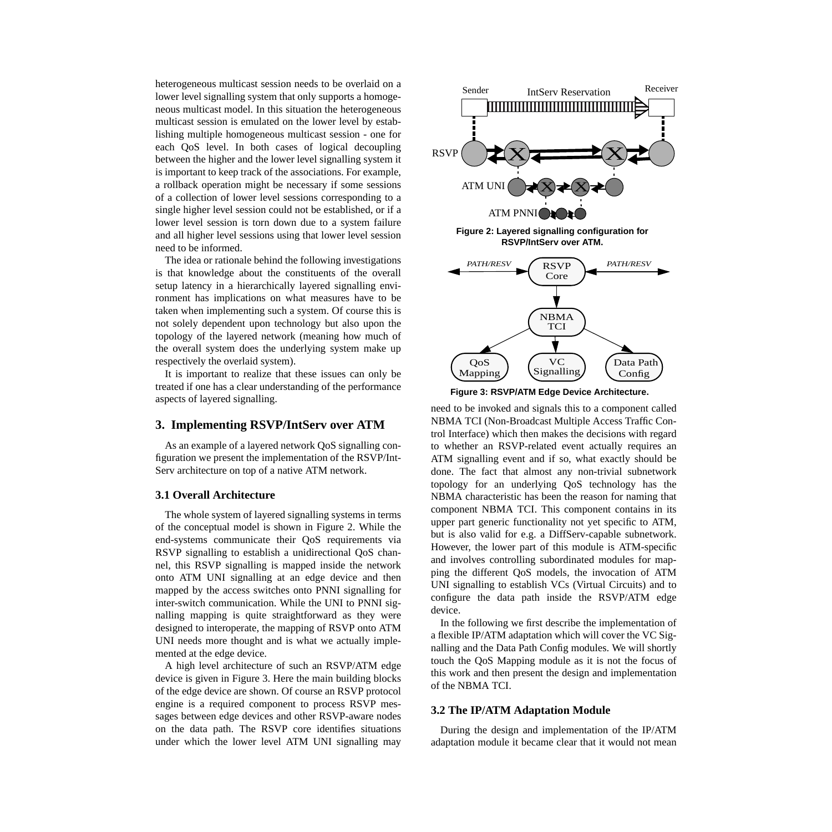<span id="page-2-0"></span>heterogeneous multicast session needs to be overlaid on a lower level signalling system that only supports a homogeneous multicast model. In this situation the heterogeneous multicast session is emulated on the lower level by establishing multiple homogeneous multicast session - one for each QoS level. In both cases of logical decoupling between the higher and the lower level signalling system it is important to keep track of the associations. For example, a rollback operation might be necessary if some sessions of a collection of lower level sessions corresponding to a single higher level session could not be established, or if a lower level session is torn down due to a system failure and all higher level sessions using that lower level session need to be informed.

The idea or rationale behind the following investigations is that knowledge about the constituents of the overall setup latency in a hierarchically layered signalling environment has implications on what measures have to be taken when implementing such a system. Of course this is not solely dependent upon technology but also upon the topology of the layered network (meaning how much of the overall system does the underlying system make up respectively the overlaid system).

It is important to realize that these issues can only be treated if one has a clear understanding of the performance aspects of layered signalling.

### **3. Implementing RSVP/IntServ over ATM**

As an example of a layered network QoS signalling configuration we present the implementation of the RSVP/Int-Serv architecture on top of a native ATM network.

#### **3.1 Overall Architecture**

The whole system of layered signalling systems in terms of the conceptual model is shown in Figure 2. While the end-systems communicate their QoS requirements via RSVP signalling to establish a unidirectional QoS channel, this RSVP signalling is mapped inside the network onto ATM UNI signalling at an edge device and then mapped by the access switches onto PNNI signalling for inter-switch communication. While the UNI to PNNI signalling mapping is quite straightforward as they were designed to interoperate, the mapping of RSVP onto ATM UNI needs more thought and is what we actually implemented at the edge device.

A high level architecture of such an RSVP/ATM edge device is given in Figure 3. Here the main building blocks of the edge device are shown. Of course an RSVP protocol engine is a required component to process RSVP messages between edge devices and other RSVP-aware nodes on the data path. The RSVP core identifies situations under which the lower level ATM UNI signalling may



**Figure 3: RSVP/ATM Edge Device Architecture.**

need to be invoked and signals this to a component called NBMA TCI (Non-Broadcast Multiple Access Traffic Control Interface) which then makes the decisions with regard to whether an RSVP-related event actually requires an ATM signalling event and if so, what exactly should be done. The fact that almost any non-trivial subnetwork topology for an underlying QoS technology has the NBMA characteristic has been the reason for naming that component NBMA TCI. This component contains in its upper part generic functionality not yet specific to ATM, but is also valid for e.g. a DiffServ-capable subnetwork. However, the lower part of this module is ATM-specific and involves controlling subordinated modules for mapping the different QoS models, the invocation of ATM UNI signalling to establish VCs (Virtual Circuits) and to configure the data path inside the RSVP/ATM edge device.

In the following we first describe the implementation of a flexible IP/ATM adaptation which will cover the VC Signalling and the Data Path Config modules. We will shortly touch the QoS Mapping module as it is not the focus of this work and then present the design and implementation of the NBMA TCI.

### **3.2 The IP/ATM Adaptation Module**

During the design and implementation of the IP/ATM adaptation module it became clear that it would not mean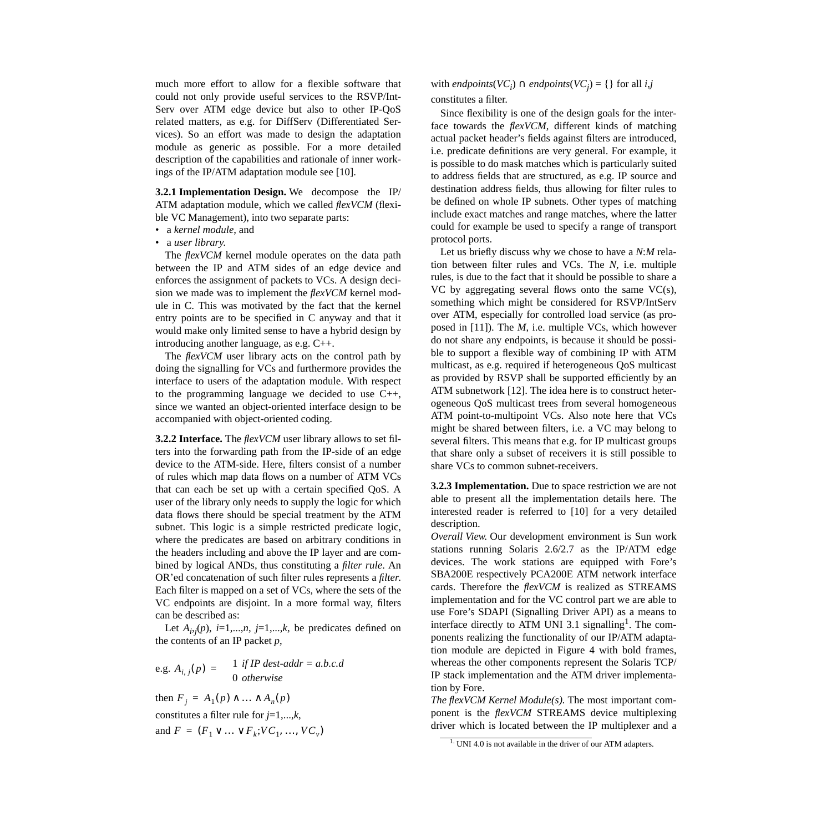<span id="page-3-0"></span>much more effort to allow for a flexible software that could not only provide useful services to the RSVP/Int-Serv over ATM edge device but also to other IP-QoS related matters, as e.g. for DiffServ (Differentiated Services). So an effort was made to design the adaptation module as generic as possible. For a more detailed description of the capabilities and rationale of inner workings of the IP/ATM adaptation module see [10].

**3.2.1 Implementation Design.** We decompose the IP/ ATM adaptation module, which we called *flexVCM* (flexible VC Management), into two separate parts:

- a *kernel module*, and
- a *user library*.

The *flexVCM* kernel module operates on the data path between the IP and ATM sides of an edge device and enforces the assignment of packets to VCs. A design decision we made was to implement the *flexVCM* kernel module in C. This was motivated by the fact that the kernel entry points are to be specified in C anyway and that it would make only limited sense to have a hybrid design by introducing another language, as e.g. C++.

The *flexVCM* user library acts on the control path by doing the signalling for VCs and furthermore provides the interface to users of the adaptation module. With respect to the programming language we decided to use C++, since we wanted an object-oriented interface design to be accompanied with object-oriented coding.

**3.2.2 Interface.** The *flexVCM* user library allows to set filters into the forwarding path from the IP-side of an edge device to the ATM-side. Here, filters consist of a number of rules which map data flows on a number of ATM VCs that can each be set up with a certain specified QoS. A user of the library only needs to supply the logic for which data flows there should be special treatment by the ATM subnet. This logic is a simple restricted predicate logic, where the predicates are based on arbitrary conditions in the headers including and above the IP layer and are combined by logical ANDs, thus constituting a *filter rule*. An OR'ed concatenation of such filter rules represents a *filter*. Each filter is mapped on a set of VCs, where the sets of the VC endpoints are disjoint. In a more formal way, filters can be described as:

Let  $A_{i,j}(p)$ ,  $i=1,...,n$ ,  $j=1,...,k$ , be predicates defined on the contents of an IP packet *p*,

e.g. 
$$
A_{i,j}(p) = \begin{cases} 1 & \text{if IP dest-addr} = a.b.c.d \\ 0 & \text{otherwise} \end{cases}
$$
  
then  $F_j = A_1(p) \land ... \land A_n(p)$   
constitutes a filter rule for  $j=1,...,k$ ,  
and  $F = (F_1 \lor ... \lor F_k; VC_1, ..., VC_v)$ 

 $with\ endpoints(VC_i) \cap endpoints(VC_j) = { }$  for all *i*,*j* constitutes a filter.

Since flexibility is one of the design goals for the interface towards the *flexVCM*, different kinds of matching actual packet header's fields against filters are introduced, i.e. predicate definitions are very general. For example, it is possible to do mask matches which is particularly suited to address fields that are structured, as e.g. IP source and destination address fields, thus allowing for filter rules to be defined on whole IP subnets. Other types of matching include exact matches and range matches, where the latter could for example be used to specify a range of transport protocol ports.

Let us briefly discuss why we chose to have a *N*:*M* relation between filter rules and VCs. The *N*, i.e. multiple rules, is due to the fact that it should be possible to share a VC by aggregating several flows onto the same  $VC(s)$ , something which might be considered for RSVP/IntServ over ATM, especially for controlled load service (as proposed in [11]). The *M*, i.e. multiple VCs, which however do not share any endpoints, is because it should be possible to support a flexible way of combining IP with ATM multicast, as e.g. required if heterogeneous QoS multicast as provided by RSVP shall be supported efficiently by an ATM subnetwork [12]. The idea here is to construct heterogeneous QoS multicast trees from several homogeneous ATM point-to-multipoint VCs. Also note here that VCs might be shared between filters, i.e. a VC may belong to several filters. This means that e.g. for IP multicast groups that share only a subset of receivers it is still possible to share VCs to common subnet-receivers.

**3.2.3 Implementation.** Due to space restriction we are not able to present all the implementation details here. The interested reader is referred to [10] for a very detailed description.

*Overall View.* Our development environment is Sun work stations running Solaris 2.6/2.7 as the IP/ATM edge devices. The work stations are equipped with Fore's SBA200E respectively PCA200E ATM network interface cards. Therefore the *flexVCM* is realized as STREAMS implementation and for the VC control part we are able to use Fore's SDAPI (Signalling Driver API) as a means to interface directly to ATM UNI 3.1 signalling<sup>1</sup>. The components realizing the functionality of our IP/ATM adaptation module are depicted in [Figure 4](#page-4-0) with bold frames, whereas the other components represent the Solaris TCP/ IP stack implementation and the ATM driver implementation by Fore.

*The flexVCM Kernel Module(s).* The most important component is the *flexVCM* STREAMS device multiplexing driver which is located between the IP multiplexer and a

<sup>&</sup>lt;sup>*F*</sup> UNI 4.0 is not available in the driver of our ATM adapters.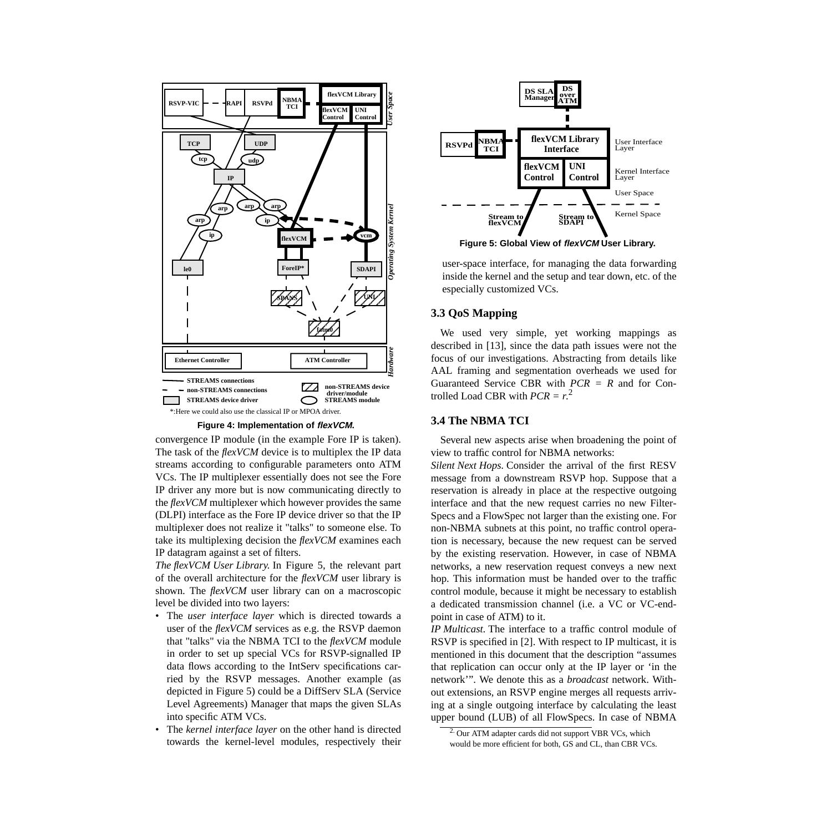<span id="page-4-0"></span>

**Figure 4: Implementation of flexVCM.**

convergence IP module (in the example Fore IP is taken). The task of the *flexVCM* device is to multiplex the IP data streams according to configurable parameters onto ATM VCs. The IP multiplexer essentially does not see the Fore IP driver any more but is now communicating directly to the *flexVCM* multiplexer which however provides the same (DLPI) interface as the Fore IP device driver so that the IP multiplexer does not realize it "talks" to someone else. To take its multiplexing decision the *flexVCM* examines each IP datagram against a set of filters.

*The flexVCM User Library.* In Figure 5, the relevant part of the overall architecture for the *flexVCM* user library is shown. The *flexVCM* user library can on a macroscopic level be divided into two layers:

- The *user interface layer* which is directed towards a user of the *flexVCM* services as e.g. the RSVP daemon that "talks" via the NBMA TCI to the *flexVCM* module in order to set up special VCs for RSVP-signalled IP data flows according to the IntServ specifications carried by the RSVP messages. Another example (as depicted in Figure 5) could be a DiffServ SLA (Service Level Agreements) Manager that maps the given SLAs into specific ATM VCs.
- The *kernel interface layer* on the other hand is directed towards the kernel-level modules, respectively their



**Figure 5: Global View of flexVCM User Library.**

user-space interface, for managing the data forwarding inside the kernel and the setup and tear down, etc. of the especially customized VCs.

### **3.3 QoS Mapping**

We used very simple, yet working mappings as described in [13], since the data path issues were not the focus of our investigations. Abstracting from details like AAL framing and segmentation overheads we used for Guaranteed Service CBR with *PCR = R* and for Controlled Load CBR with  $PCR = r<sup>2</sup>$ 

### **3.4 The NBMA TCI**

Several new aspects arise when broadening the point of view to traffic control for NBMA networks:

*Silent Next Hops.* Consider the arrival of the first RESV message from a downstream RSVP hop. Suppose that a reservation is already in place at the respective outgoing interface and that the new request carries no new Filter-Specs and a FlowSpec not larger than the existing one. For non-NBMA subnets at this point, no traffic control operation is necessary, because the new request can be served by the existing reservation. However, in case of NBMA networks, a new reservation request conveys a new next hop. This information must be handed over to the traffic control module, because it might be necessary to establish a dedicated transmission channel (i.e. a VC or VC-endpoint in case of ATM) to it.

*IP Multicast.* The interface to a traffic control module of RSVP is specified in [2]. With respect to IP multicast, it is mentioned in this document that the description "assumes that replication can occur only at the IP layer or 'in the network'". We denote this as a *broadcast* network. Without extensions, an RSVP engine merges all requests arriving at a single outgoing interface by calculating the least upper bound (LUB) of all FlowSpecs. In case of NBMA

 $2\degree$  Our ATM adapter cards did not support VBR VCs, which

would be more efficient for both, GS and CL, than CBR VCs.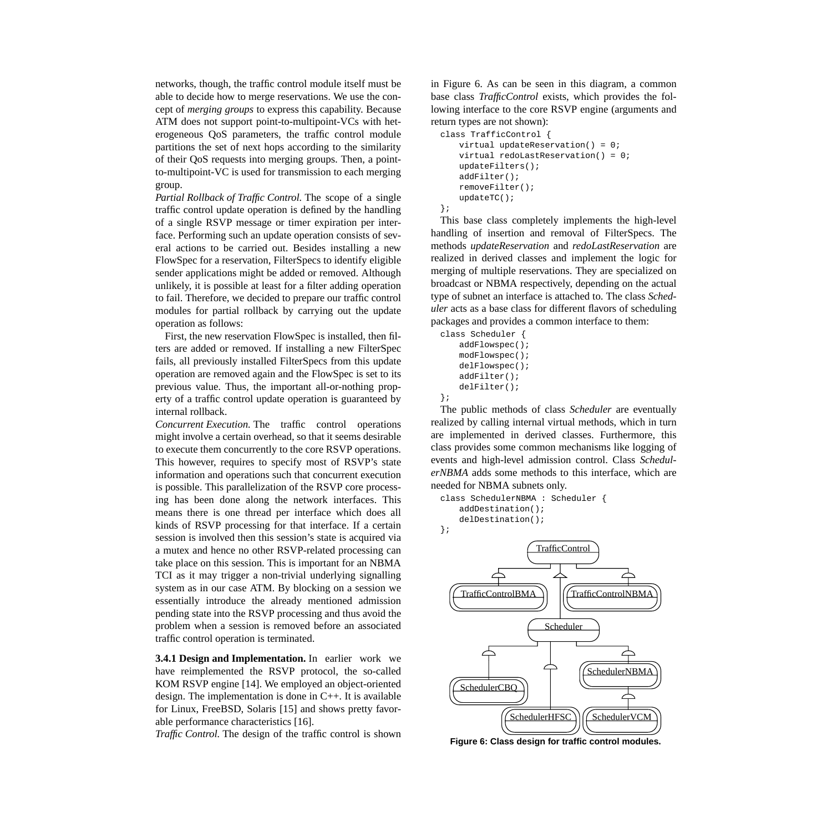networks, though, the traffic control module itself must be able to decide how to merge reservations. We use the concept of *merging groups* to express this capability. Because ATM does not support point-to-multipoint-VCs with heterogeneous QoS parameters, the traffic control module partitions the set of next hops according to the similarity of their QoS requests into merging groups. Then, a pointto-multipoint-VC is used for transmission to each merging group.

*Partial Rollback of Traffic Control.* The scope of a single traffic control update operation is defined by the handling of a single RSVP message or timer expiration per interface. Performing such an update operation consists of several actions to be carried out. Besides installing a new FlowSpec for a reservation, FilterSpecs to identify eligible sender applications might be added or removed. Although unlikely, it is possible at least for a filter adding operation to fail. Therefore, we decided to prepare our traffic control modules for partial rollback by carrying out the update operation as follows:

First, the new reservation FlowSpec is installed, then filters are added or removed. If installing a new FilterSpec fails, all previously installed FilterSpecs from this update operation are removed again and the FlowSpec is set to its previous value. Thus, the important all-or-nothing property of a traffic control update operation is guaranteed by internal rollback.

*Concurrent Execution.* The traffic control operations might involve a certain overhead, so that it seems desirable to execute them concurrently to the core RSVP operations. This however, requires to specify most of RSVP's state information and operations such that concurrent execution is possible. This parallelization of the RSVP core processing has been done along the network interfaces. This means there is one thread per interface which does all kinds of RSVP processing for that interface. If a certain session is involved then this session's state is acquired via a mutex and hence no other RSVP-related processing can take place on this session. This is important for an NBMA TCI as it may trigger a non-trivial underlying signalling system as in our case ATM. By blocking on a session we essentially introduce the already mentioned admission pending state into the RSVP processing and thus avoid the problem when a session is removed before an associated traffic control operation is terminated.

**3.4.1 Design and Implementation.** In earlier work we have reimplemented the RSVP protocol, the so-called KOM RSVP engine [14]. We employed an object-oriented design. The implementation is done in C++. It is available for Linux, FreeBSD, Solaris [15] and shows pretty favorable performance characteristics [16].

*Traffic Control.* The design of the traffic control is shown

in Figure 6. As can be seen in this diagram, a common base class *TrafficControl* exists, which provides the following interface to the core RSVP engine (arguments and return types are not shown):

```
class TrafficControl {
   virtual updateReservation() = 0;
   virtual redoLastReservation() = 0;
   updateFilters();
   addFilter();
   removeFilter();
   updateTC();
};
```
This base class completely implements the high-level handling of insertion and removal of FilterSpecs. The methods *updateReservation* and *redoLastReservation* are realized in derived classes and implement the logic for merging of multiple reservations. They are specialized on broadcast or NBMA respectively, depending on the actual type of subnet an interface is attached to. The class *Scheduler* acts as a base class for different flavors of scheduling packages and provides a common interface to them:

```
class Scheduler {
   addFlowspec();
   modFlowspec();
   delFlowspec();
   addFilter();
   delFilter();
```
};

The public methods of class *Scheduler* are eventually realized by calling internal virtual methods, which in turn are implemented in derived classes. Furthermore, this class provides some common mechanisms like logging of events and high-level admission control. Class *SchedulerNBMA* adds some methods to this interface, which are needed for NBMA subnets only.



**Figure 6: Class design for traffic control modules.**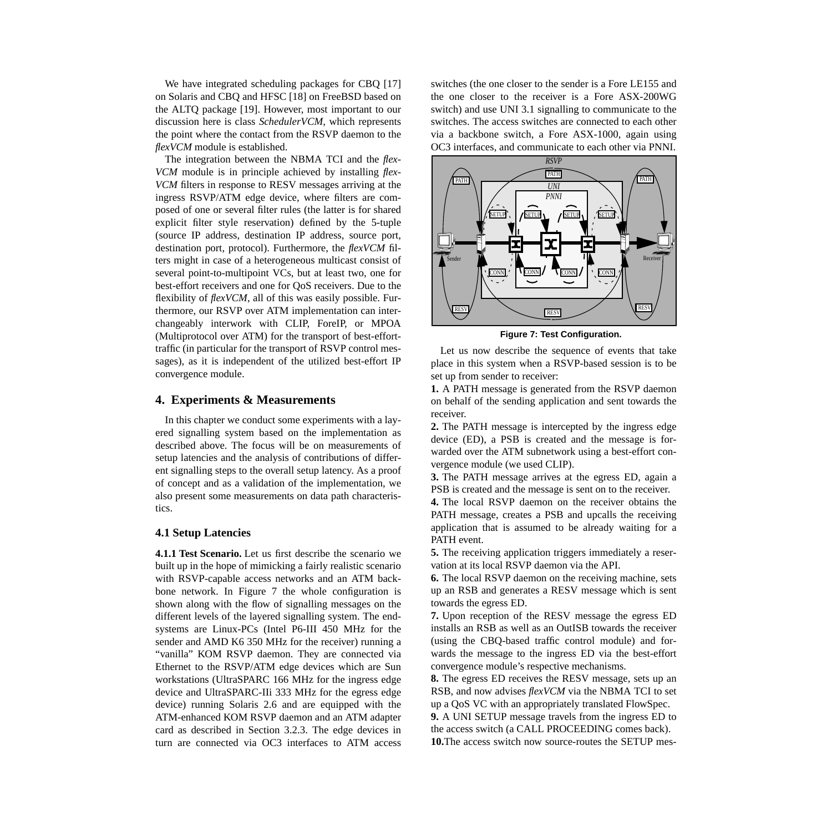<span id="page-6-0"></span>We have integrated scheduling packages for CBQ [17] on Solaris and CBQ and HFSC [18] on FreeBSD based on the ALTQ package [19]. However, most important to our discussion here is class *SchedulerVCM*, which represents the point where the contact from the RSVP daemon to the *flexVCM* module is established.

The integration between the NBMA TCI and the *flex-VCM* module is in principle achieved by installing *flex-VCM* filters in response to RESV messages arriving at the ingress RSVP/ATM edge device, where filters are composed of one or several filter rules (the latter is for shared explicit filter style reservation) defined by the 5-tuple (source IP address, destination IP address, source port, destination port, protocol). Furthermore, the *flexVCM* filters might in case of a heterogeneous multicast consist of several point-to-multipoint VCs, but at least two, one for best-effort receivers and one for QoS receivers. Due to the flexibility of *flexVCM*, all of this was easily possible. Furthermore, our RSVP over ATM implementation can interchangeably interwork with CLIP, ForeIP, or MPOA (Multiprotocol over ATM) for the transport of best-efforttraffic (in particular for the transport of RSVP control messages), as it is independent of the utilized best-effort IP convergence module.

### **4. Experiments & Measurements**

In this chapter we conduct some experiments with a layered signalling system based on the implementation as described above. The focus will be on measurements of setup latencies and the analysis of contributions of different signalling steps to the overall setup latency. As a proof of concept and as a validation of the implementation, we also present some measurements on data path characteristics.

### **4.1 Setup Latencies**

**4.1.1 Test Scenario.** Let us first describe the scenario we built up in the hope of mimicking a fairly realistic scenario with RSVP-capable access networks and an ATM backbone network. In Figure 7 the whole configuration is shown along with the flow of signalling messages on the different levels of the layered signalling system. The endsystems are Linux-PCs (Intel P6-III 450 MHz for the sender and AMD K6 350 MHz for the receiver) running a "vanilla" KOM RSVP daemon. They are connected via Ethernet to the RSVP/ATM edge devices which are Sun workstations (UltraSPARC 166 MHz for the ingress edge device and UltraSPARC-IIi 333 MHz for the egress edge device) running Solaris 2.6 and are equipped with the ATM-enhanced KOM RSVP daemon and an ATM adapter card as described in [Section 3.2.3.](#page-3-0) The edge devices in turn are connected via OC3 interfaces to ATM access

switches (the one closer to the sender is a Fore LE155 and the one closer to the receiver is a Fore ASX-200WG switch) and use UNI 3.1 signalling to communicate to the switches. The access switches are connected to each other via a backbone switch, a Fore ASX-1000, again using OC3 interfaces, and communicate to each other via PNNI.



**Figure 7: Test Configuration.**

Let us now describe the sequence of events that take place in this system when a RSVP-based session is to be set up from sender to receiver:

**1.** A PATH message is generated from the RSVP daemon on behalf of the sending application and sent towards the receiver.

**2.** The PATH message is intercepted by the ingress edge device (ED), a PSB is created and the message is forwarded over the ATM subnetwork using a best-effort convergence module (we used CLIP).

**3.** The PATH message arrives at the egress ED, again a PSB is created and the message is sent on to the receiver.

**4.** The local RSVP daemon on the receiver obtains the PATH message, creates a PSB and upcalls the receiving application that is assumed to be already waiting for a PATH event.

**5.** The receiving application triggers immediately a reservation at its local RSVP daemon via the API.

**6.** The local RSVP daemon on the receiving machine, sets up an RSB and generates a RESV message which is sent towards the egress ED.

**7.** Upon reception of the RESV message the egress ED installs an RSB as well as an OutISB towards the receiver (using the CBQ-based traffic control module) and forwards the message to the ingress ED via the best-effort convergence module's respective mechanisms.

**8.** The egress ED receives the RESV message, sets up an RSB, and now advises *flexVCM* via the NBMA TCI to set up a QoS VC with an appropriately translated FlowSpec.

**9.** A UNI SETUP message travels from the ingress ED to the access switch (a CALL PROCEEDING comes back).

**10.**The access switch now source-routes the SETUP mes-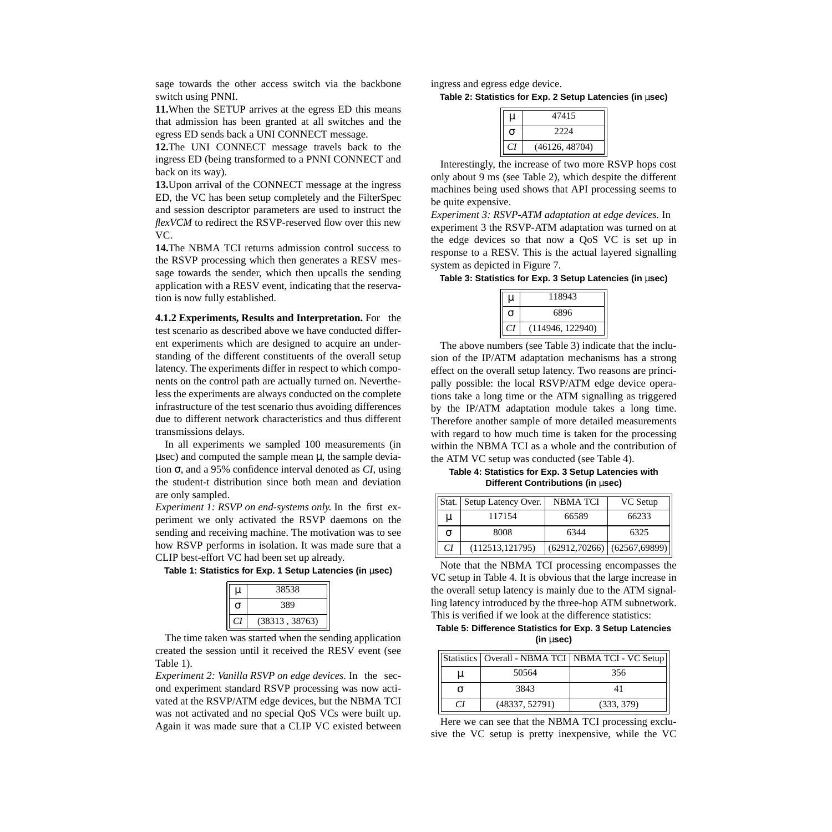sage towards the other access switch via the backbone switch using PNNI.

**11.**When the SETUP arrives at the egress ED this means that admission has been granted at all switches and the egress ED sends back a UNI CONNECT message.

**12.**The UNI CONNECT message travels back to the ingress ED (being transformed to a PNNI CONNECT and back on its way).

**13.**Upon arrival of the CONNECT message at the ingress ED, the VC has been setup completely and the FilterSpec and session descriptor parameters are used to instruct the *flexVCM* to redirect the RSVP-reserved flow over this new VC.

**14.**The NBMA TCI returns admission control success to the RSVP processing which then generates a RESV message towards the sender, which then upcalls the sending application with a RESV event, indicating that the reservation is now fully established.

**4.1.2 Experiments, Results and Interpretation.** For the test scenario as described above we have conducted different experiments which are designed to acquire an understanding of the different constituents of the overall setup latency. The experiments differ in respect to which components on the control path are actually turned on. Nevertheless the experiments are always conducted on the complete infrastructure of the test scenario thus avoiding differences due to different network characteristics and thus different transmissions delays.

In all experiments we sampled 100 measurements (in  $\mu$ sec) and computed the sample mean  $\mu$ , the sample deviation σ, and a 95% confidence interval denoted as *CI*, using the student-t distribution since both mean and deviation are only sampled.

*Experiment 1: RSVP on end-systems only.* In the first experiment we only activated the RSVP daemons on the sending and receiving machine. The motivation was to see how RSVP performs in isolation. It was made sure that a CLIP best-effort VC had been set up already.

**Table 1: Statistics for Exp. 1 Setup Latencies (in** µ**sec)**

| μ | 38538          |
|---|----------------|
| σ | 389            |
|   | (38313, 38763) |

The time taken was started when the sending application created the session until it received the RESV event (see Table 1).

*Experiment 2: Vanilla RSVP on edge devices.* In the second experiment standard RSVP processing was now activated at the RSVP/ATM edge devices, but the NBMA TCI was not activated and no special QoS VCs were built up. Again it was made sure that a CLIP VC existed between ingress and egress edge device.

**Table 2: Statistics for Exp. 2 Setup Latencies (in** µ**sec)**

| u | 47415          |
|---|----------------|
| σ | 2224           |
|   | (46126, 48704) |

Interestingly, the increase of two more RSVP hops cost only about 9 ms (see Table 2), which despite the different machines being used shows that API processing seems to be quite expensive.

*Experiment 3: RSVP-ATM adaptation at edge devices.* In experiment 3 the RSVP-ATM adaptation was turned on at the edge devices so that now a QoS VC is set up in response to a RESV. This is the actual layered signalling system as depicted in [Figure 7.](#page-6-0)

**Table 3: Statistics for Exp. 3 Setup Latencies (in** µ**sec)**

| u | 118943           |
|---|------------------|
| ᡴ | 6896             |
|   | (114946, 122940) |

The above numbers (see Table 3) indicate that the inclusion of the IP/ATM adaptation mechanisms has a strong effect on the overall setup latency. Two reasons are principally possible: the local RSVP/ATM edge device operations take a long time or the ATM signalling as triggered by the IP/ATM adaptation module takes a long time. Therefore another sample of more detailed measurements with regard to how much time is taken for the processing within the NBMA TCI as a whole and the contribution of the ATM VC setup was conducted (see Table 4).

**Table 4: Statistics for Exp. 3 Setup Latencies with Different Contributions (in** µ**sec)**

|    | Stat.   Setup Latency Over. | NBMA TCI                      | VC Setup |
|----|-----------------------------|-------------------------------|----------|
| μ  | 117154                      | 66589                         | 66233    |
| σ  | 8008                        | 6344                          | 6325     |
| СI | (112513, 121795)            | $(62912,70266)$ (62567,69899) |          |

Note that the NBMA TCI processing encompasses the VC setup in Table 4. It is obvious that the large increase in the overall setup latency is mainly due to the ATM signalling latency introduced by the three-hop ATM subnetwork. This is verified if we look at the difference statistics:

**Table 5: Difference Statistics for Exp. 3 Setup Latencies (in** µ**sec)**

|    |                | Statistics   Overall - NBMA TCI   NBMA TCI - VC Setup |
|----|----------------|-------------------------------------------------------|
| μ  | 50564          | 356                                                   |
| σ  | 3843           | 41                                                    |
| CΙ | (48337, 52791) | (333, 379)                                            |

Here we can see that the NBMA TCI processing exclusive the VC setup is pretty inexpensive, while the VC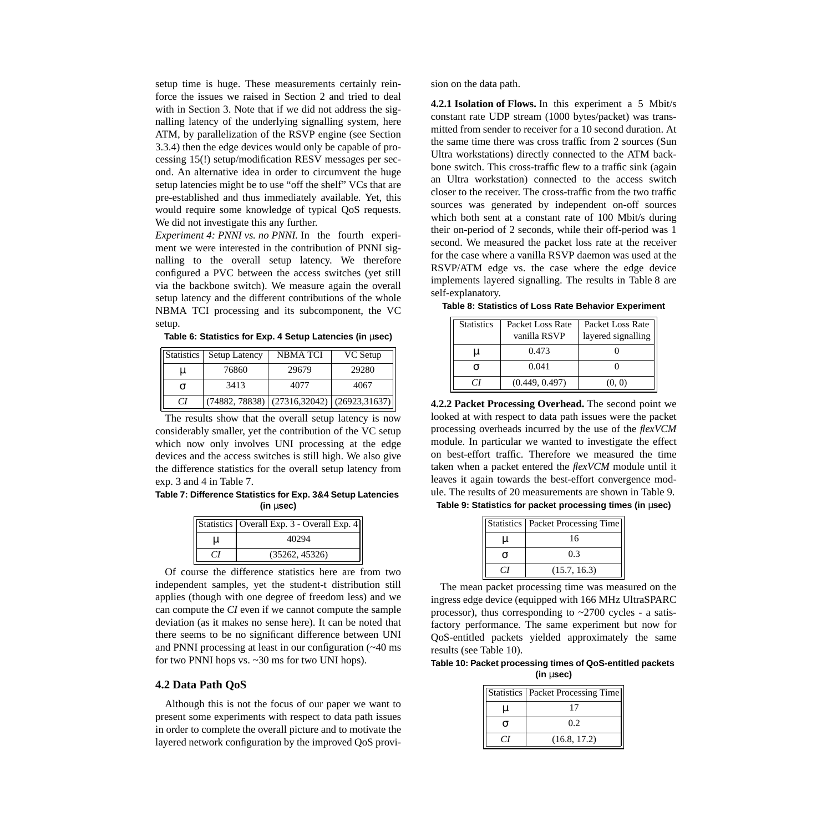setup time is huge. These measurements certainly reinforce the issues we raised in [Section 2](#page-0-0) and tried to deal with in [Section 3](#page-2-0). Note that if we did not address the signalling latency of the underlying signalling system, here ATM, by parallelization of the RSVP engine (see [Section](#page-4-0) [3.3.4\)](#page-4-0) then the edge devices would only be capable of processing 15(!) setup/modification RESV messages per second. An alternative idea in order to circumvent the huge setup latencies might be to use "off the shelf" VCs that are pre-established and thus immediately available. Yet, this would require some knowledge of typical QoS requests. We did not investigate this any further.

*Experiment 4: PNNI vs. no PNNI.* In the fourth experiment we were interested in the contribution of PNNI signalling to the overall setup latency. We therefore configured a PVC between the access switches (yet still via the backbone switch). We measure again the overall setup latency and the different contributions of the whole NBMA TCI processing and its subcomponent, the VC setup.

**Table 6: Statistics for Exp. 4 Setup Latencies (in** µ**sec)**

| Statistics | Setup Latency  | NBMA TCI      | VC Setup      |
|------------|----------------|---------------|---------------|
| μ          | 76860          | 29679         | 29280         |
| σ          | 3413           | 4077          | 4067          |
| CI         | (74882, 78838) | (27316,32042) | (26923,31637) |

The results show that the overall setup latency is now considerably smaller, yet the contribution of the VC setup which now only involves UNI processing at the edge devices and the access switches is still high. We also give the difference statistics for the overall setup latency from exp. 3 and 4 in Table 7.

**Table 7: Difference Statistics for Exp. 3&4 Setup Latencies (in** µ**sec)**

|    | Statistics   Overall Exp. 3 - Overall Exp. 4 |
|----|----------------------------------------------|
| μ  | 40294                                        |
| CТ | (35262, 45326)                               |

Of course the difference statistics here are from two independent samples, yet the student-t distribution still applies (though with one degree of freedom less) and we can compute the *CI* even if we cannot compute the sample deviation (as it makes no sense here). It can be noted that there seems to be no significant difference between UNI and PNNI processing at least in our configuration (~40 ms for two PNNI hops vs. ~30 ms for two UNI hops).

#### **4.2 Data Path QoS**

Although this is not the focus of our paper we want to present some experiments with respect to data path issues in order to complete the overall picture and to motivate the layered network configuration by the improved QoS provision on the data path.

**4.2.1 Isolation of Flows.** In this experiment a 5 Mbit/s constant rate UDP stream (1000 bytes/packet) was transmitted from sender to receiver for a 10 second duration. At the same time there was cross traffic from 2 sources (Sun Ultra workstations) directly connected to the ATM backbone switch. This cross-traffic flew to a traffic sink (again an Ultra workstation) connected to the access switch closer to the receiver. The cross-traffic from the two traffic sources was generated by independent on-off sources which both sent at a constant rate of 100 Mbit/s during their on-period of 2 seconds, while their off-period was 1 second. We measured the packet loss rate at the receiver for the case where a vanilla RSVP daemon was used at the RSVP/ATM edge vs. the case where the edge device implements layered signalling. The results in Table 8 are self-explanatory.

**Table 8: Statistics of Loss Rate Behavior Experiment**

| <b>Statistics</b> | Packet Loss Rate<br>vanilla RSVP | Packet Loss Rate<br>layered signalling |
|-------------------|----------------------------------|----------------------------------------|
| μ                 | 0.473                            |                                        |
| σ                 | 0.041                            |                                        |
|                   | (0.449, 0.497)                   | (0, 0)                                 |

**4.2.2 Packet Processing Overhead.** The second point we looked at with respect to data path issues were the packet processing overheads incurred by the use of the *flexVCM* module. In particular we wanted to investigate the effect on best-effort traffic. Therefore we measured the time taken when a packet entered the *flexVCM* module until it leaves it again towards the best-effort convergence module. The results of 20 measurements are shown in Table 9.

**Table 9: Statistics for packet processing times (in** µ**sec)**

|   | Statistics   Packet Processing Time |  |
|---|-------------------------------------|--|
| u | 16                                  |  |
| σ | 0.3                                 |  |
|   | (15.7, 16.3)                        |  |

The mean packet processing time was measured on the ingress edge device (equipped with 166 MHz UltraSPARC processor), thus corresponding to  $\sim$ 2700 cycles - a satisfactory performance. The same experiment but now for QoS-entitled packets yielded approximately the same results (see Table 10).

**Table 10: Packet processing times of QoS-entitled packets (in** µ**sec)**

|   | <b>Statistics   Packet Processing Time</b> |
|---|--------------------------------------------|
| u | 17                                         |
| σ | 0.2                                        |
|   | (16.8, 17.2)                               |